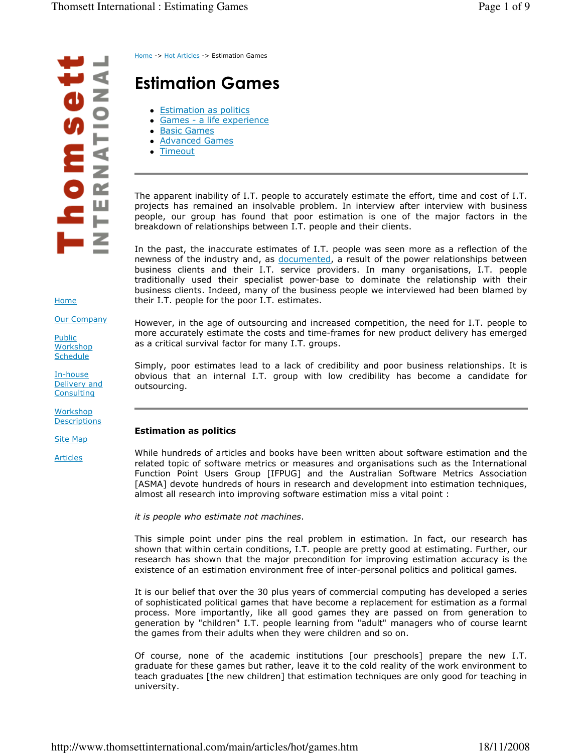$\blacksquare$ NOITIONA  $\frac{1}{2}$  $\sim$ ш 后  $\blacksquare$   $\blacksquare$ 

Home -> Hot Articles -> Estimation Games

# Estimation Games

- Estimation as politics
- Games a life experience
- Basic Games
- Advanced Games
- Timeout

The apparent inability of I.T. people to accurately estimate the effort, time and cost of I.T. projects has remained an insolvable problem. In interview after interview with business people, our group has found that poor estimation is one of the major factors in the breakdown of relationships between I.T. people and their clients.

In the past, the inaccurate estimates of I.T. people was seen more as a reflection of the newness of the industry and, as documented, a result of the power relationships between business clients and their I.T. service providers. In many organisations, I.T. people traditionally used their specialist power-base to dominate the relationship with their business clients. Indeed, many of the business people we interviewed had been blamed by their I.T. people for the poor I.T. estimates.

However, in the age of outsourcing and increased competition, the need for I.T. people to more accurately estimate the costs and time-frames for new product delivery has emerged as a critical survival factor for many I.T. groups.

Simply, poor estimates lead to a lack of credibility and poor business relationships. It is obvious that an internal I.T. group with low credibility has become a candidate for outsourcing.

## Estimation as politics

While hundreds of articles and books have been written about software estimation and the related topic of software metrics or measures and organisations such as the International Function Point Users Group [IFPUG] and the Australian Software Metrics Association [ASMA] devote hundreds of hours in research and development into estimation techniques, almost all research into improving software estimation miss a vital point :

it is people who estimate not machines.

This simple point under pins the real problem in estimation. In fact, our research has shown that within certain conditions, I.T. people are pretty good at estimating. Further, our research has shown that the major precondition for improving estimation accuracy is the existence of an estimation environment free of inter-personal politics and political games.

It is our belief that over the 30 plus years of commercial computing has developed a series of sophisticated political games that have become a replacement for estimation as a formal process. More importantly, like all good games they are passed on from generation to generation by "children" I.T. people learning from "adult" managers who of course learnt the games from their adults when they were children and so on.

Of course, none of the academic institutions [our preschools] prepare the new I.T. graduate for these games but rather, leave it to the cold reality of the work environment to teach graduates [the new children] that estimation techniques are only good for teaching in university.

Home

Our Company

Public **Workshop Schedule** 

In-house Delivery and **Consulting** 

Workshop **Descriptions** 

Site Map

Articles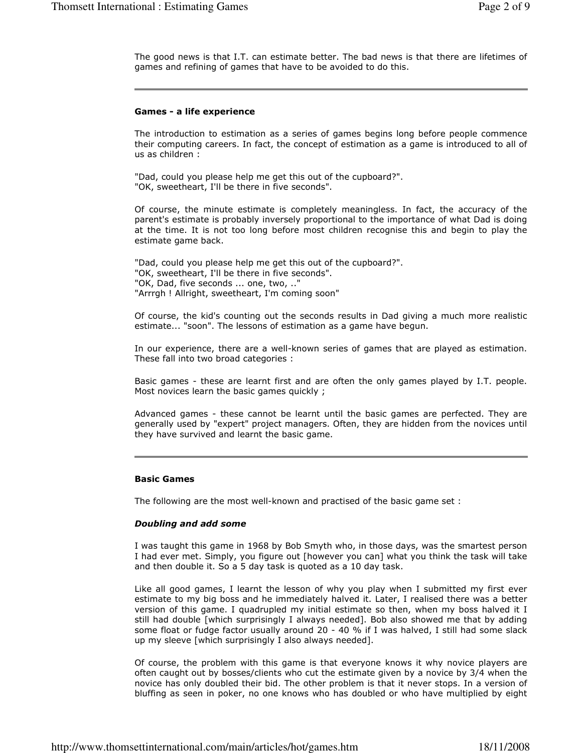The good news is that I.T. can estimate better. The bad news is that there are lifetimes of games and refining of games that have to be avoided to do this.

#### Games - a life experience

The introduction to estimation as a series of games begins long before people commence their computing careers. In fact, the concept of estimation as a game is introduced to all of us as children :

"Dad, could you please help me get this out of the cupboard?". "OK, sweetheart, I'll be there in five seconds".

Of course, the minute estimate is completely meaningless. In fact, the accuracy of the parent's estimate is probably inversely proportional to the importance of what Dad is doing at the time. It is not too long before most children recognise this and begin to play the estimate game back.

"Dad, could you please help me get this out of the cupboard?". "OK, sweetheart, I'll be there in five seconds". "OK, Dad, five seconds ... one, two, .." "Arrrgh ! Allright, sweetheart, I'm coming soon"

Of course, the kid's counting out the seconds results in Dad giving a much more realistic estimate... "soon". The lessons of estimation as a game have begun.

In our experience, there are a well-known series of games that are played as estimation. These fall into two broad categories :

Basic games - these are learnt first and are often the only games played by I.T. people. Most novices learn the basic games quickly ;

Advanced games - these cannot be learnt until the basic games are perfected. They are generally used by "expert" project managers. Often, they are hidden from the novices until they have survived and learnt the basic game.

## Basic Games

The following are the most well-known and practised of the basic game set :

#### Doubling and add some

I was taught this game in 1968 by Bob Smyth who, in those days, was the smartest person I had ever met. Simply, you figure out [however you can] what you think the task will take and then double it. So a 5 day task is quoted as a 10 day task.

Like all good games, I learnt the lesson of why you play when I submitted my first ever estimate to my big boss and he immediately halved it. Later, I realised there was a better version of this game. I quadrupled my initial estimate so then, when my boss halved it I still had double [which surprisingly I always needed]. Bob also showed me that by adding some float or fudge factor usually around 20 - 40 % if I was halved, I still had some slack up my sleeve [which surprisingly I also always needed].

Of course, the problem with this game is that everyone knows it why novice players are often caught out by bosses/clients who cut the estimate given by a novice by 3/4 when the novice has only doubled their bid. The other problem is that it never stops. In a version of bluffing as seen in poker, no one knows who has doubled or who have multiplied by eight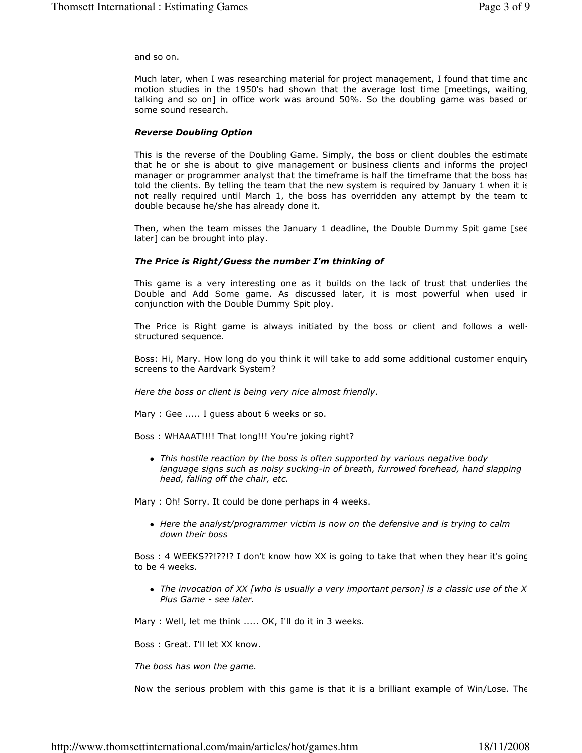and so on.

Much later, when I was researching material for project management, I found that time and motion studies in the 1950's had shown that the average lost time [meetings, waiting, talking and so on] in office work was around 50%. So the doubling game was based on some sound research.

#### Reverse Doubling Option

This is the reverse of the Doubling Game. Simply, the boss or client doubles the estimate that he or she is about to give management or business clients and informs the project manager or programmer analyst that the timeframe is half the timeframe that the boss has told the clients. By telling the team that the new system is required by January 1 when it is not really required until March 1, the boss has overridden any attempt by the team to double because he/she has already done it.

Then, when the team misses the January 1 deadline, the Double Dummy Spit game [see later] can be brought into play.

#### The Price is Right/Guess the number I'm thinking of

This game is a very interesting one as it builds on the lack of trust that underlies the Double and Add Some game. As discussed later, it is most powerful when used in conjunction with the Double Dummy Spit ploy.

The Price is Right game is always initiated by the boss or client and follows a wellstructured sequence.

Boss: Hi, Mary. How long do you think it will take to add some additional customer enquiry screens to the Aardvark System?

Here the boss or client is being very nice almost friendly.

Mary : Gee ..... I guess about 6 weeks or so.

Boss : WHAAAT!!!! That long!!! You're joking right?

• This hostile reaction by the boss is often supported by various negative body language signs such as noisy sucking-in of breath, furrowed forehead, hand slapping head, falling off the chair, etc.

Mary : Oh! Sorry. It could be done perhaps in 4 weeks.

• Here the analyst/programmer victim is now on the defensive and is trying to calm down their boss

Boss : 4 WEEKS??!??!? I don't know how XX is going to take that when they hear it's going to be 4 weeks.

• The invocation of XX [who is usually a very important person] is a classic use of the X Plus Game - see later.

Mary : Well, let me think ..... OK, I'll do it in 3 weeks.

Boss : Great. I'll let XX know.

The boss has won the game.

Now the serious problem with this game is that it is a brilliant example of Win/Lose. The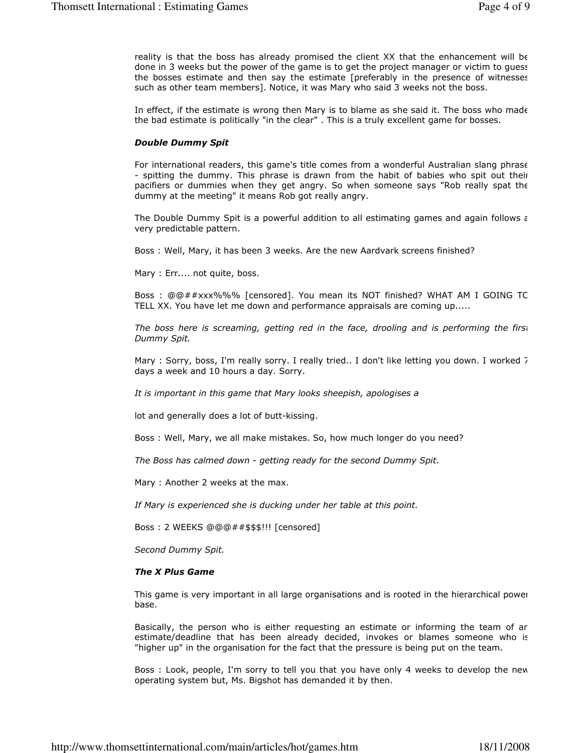reality is that the boss has already promised the client XX that the enhancement will be done in 3 weeks but the power of the game is to get the project manager or victim to guess the bosses estimate and then say the estimate [preferably in the presence of witnesses such as other team members]. Notice, it was Mary who said 3 weeks not the boss.

In effect, if the estimate is wrong then Mary is to blame as she said it. The boss who made the bad estimate is politically "in the clear" . This is a truly excellent game for bosses.

#### Double Dummy Spit

For international readers, this game's title comes from a wonderful Australian slang phrase - spitting the dummy. This phrase is drawn from the habit of babies who spit out their pacifiers or dummies when they get angry. So when someone says "Rob really spat the dummy at the meeting" it means Rob got really angry.

The Double Dummy Spit is a powerful addition to all estimating games and again follows  $\epsilon$ very predictable pattern.

Boss : Well, Mary, it has been 3 weeks. Are the new Aardvark screens finished?

Mary : Err.... not quite, boss.

Boss : @@##xxx%%% [censored]. You mean its NOT finished? WHAT AM I GOING TO TELL XX. You have let me down and performance appraisals are coming up.....

The boss here is screaming, getting red in the face, drooling and is performing the first Dummy Spit.

Mary : Sorry, boss, I'm really sorry. I really tried.. I don't like letting you down. I worked 7 days a week and 10 hours a day. Sorry.

It is important in this game that Mary looks sheepish, apologises a

lot and generally does a lot of butt-kissing.

Boss : Well, Mary, we all make mistakes. So, how much longer do you need?

The Boss has calmed down - getting ready for the second Dummy Spit.

Mary : Another 2 weeks at the max.

If Mary is experienced she is ducking under her table at this point.

Boss : 2 WEEKS @@@##\$\$\$!!! [censored]

Second Dummy Spit.

#### The X Plus Game

This game is very important in all large organisations and is rooted in the hierarchical power base.

Basically, the person who is either requesting an estimate or informing the team of an estimate/deadline that has been already decided, invokes or blames someone who is "higher up" in the organisation for the fact that the pressure is being put on the team.

Boss : Look, people, I'm sorry to tell you that you have only 4 weeks to develop the new operating system but, Ms. Bigshot has demanded it by then.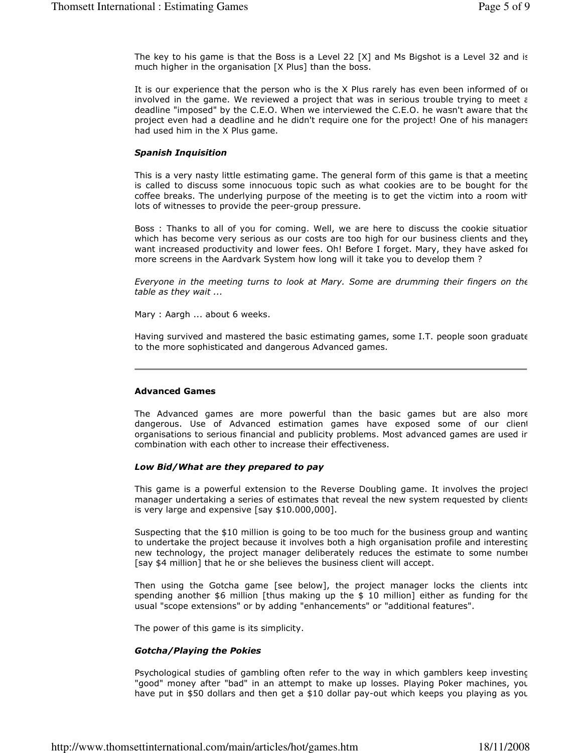The key to his game is that the Boss is a Level 22  $[X]$  and Ms Bigshot is a Level 32 and is much higher in the organisation [X Plus] than the boss.

It is our experience that the person who is the X Plus rarely has even been informed of or involved in the game. We reviewed a project that was in serious trouble trying to meet  $\varepsilon$ deadline "imposed" by the C.E.O. When we interviewed the C.E.O. he wasn't aware that the project even had a deadline and he didn't require one for the project! One of his managers had used him in the X Plus game.

## Spanish Inquisition

This is a very nasty little estimating game. The general form of this game is that a meeting is called to discuss some innocuous topic such as what cookies are to be bought for the coffee breaks. The underlying purpose of the meeting is to get the victim into a room with lots of witnesses to provide the peer-group pressure.

Boss : Thanks to all of you for coming. Well, we are here to discuss the cookie situation which has become very serious as our costs are too high for our business clients and they want increased productivity and lower fees. Oh! Before I forget. Mary, they have asked for more screens in the Aardvark System how long will it take you to develop them ?

Everyone in the meeting turns to look at Mary. Some are drumming their fingers on the table as they wait ...

Mary : Aargh ... about 6 weeks.

Having survived and mastered the basic estimating games, some I.T. people soon graduate to the more sophisticated and dangerous Advanced games.

## Advanced Games

The Advanced games are more powerful than the basic games but are also more dangerous. Use of Advanced estimation games have exposed some of our client organisations to serious financial and publicity problems. Most advanced games are used in combination with each other to increase their effectiveness.

## Low Bid/What are they prepared to pay

This game is a powerful extension to the Reverse Doubling game. It involves the project manager undertaking a series of estimates that reveal the new system requested by clients is very large and expensive [say \$10.000,000].

Suspecting that the \$10 million is going to be too much for the business group and wanting to undertake the project because it involves both a high organisation profile and interesting new technology, the project manager deliberately reduces the estimate to some number [say \$4 million] that he or she believes the business client will accept.

Then using the Gotcha game [see below], the project manager locks the clients intc spending another  $$6$  million [thus making up the  $$10$  million] either as funding for the usual "scope extensions" or by adding "enhancements" or "additional features".

The power of this game is its simplicity.

## Gotcha/Playing the Pokies

Psychological studies of gambling often refer to the way in which gamblers keep investing "good" money after "bad" in an attempt to make up losses. Playing Poker machines, you have put in \$50 dollars and then get a \$10 dollar pay-out which keeps you playing as you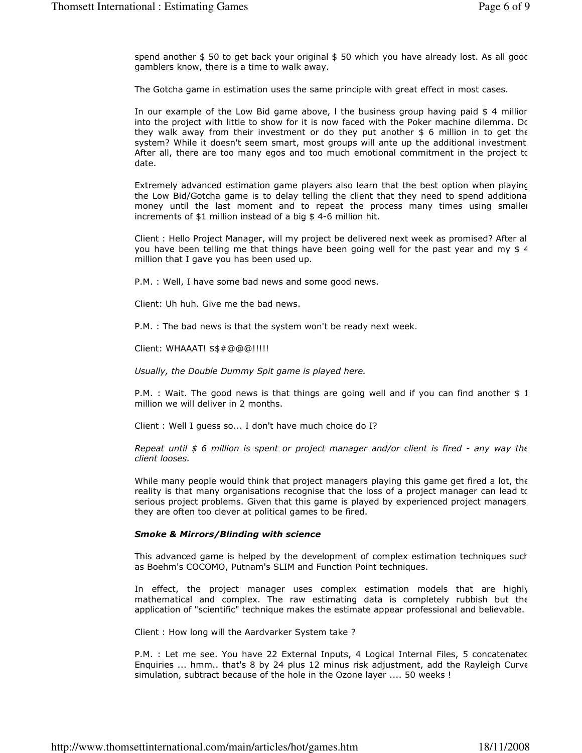spend another  $$50$  to get back your original  $$50$  which you have already lost. As all gooc gamblers know, there is a time to walk away.

The Gotcha game in estimation uses the same principle with great effect in most cases.

In our example of the Low Bid game above, I the business group having paid \$ 4 millior into the project with little to show for it is now faced with the Poker machine dilemma. Do they walk away from their investment or do they put another  $$6$  million in to get the system? While it doesn't seem smart, most groups will ante up the additional investment. After all, there are too many egos and too much emotional commitment in the project to date.

Extremely advanced estimation game players also learn that the best option when playing the Low Bid/Gotcha game is to delay telling the client that they need to spend additional money until the last moment and to repeat the process many times using smaller increments of \$1 million instead of a big \$ 4-6 million hit.

Client : Hello Project Manager, will my project be delivered next week as promised? After all you have been telling me that things have been going well for the past year and my  $$4$ million that I gave you has been used up.

P.M. : Well, I have some bad news and some good news.

Client: Uh huh. Give me the bad news.

P.M. : The bad news is that the system won't be ready next week.

Client: WHAAAT! \$\$#@@@!!!!!

Usually, the Double Dummy Spit game is played here.

P.M. : Wait. The good news is that things are going well and if you can find another \$ 1 million we will deliver in 2 months.

Client : Well I guess so... I don't have much choice do I?

Repeat until  $$6$  million is spent or project manager and/or client is fired - any way the client looses.

While many people would think that project managers playing this game get fired a lot, the reality is that many organisations recognise that the loss of a project manager can lead to serious project problems. Given that this game is played by experienced project managers, they are often too clever at political games to be fired.

## Smoke & Mirrors/Blinding with science

This advanced game is helped by the development of complex estimation techniques such as Boehm's COCOMO, Putnam's SLIM and Function Point techniques.

In effect, the project manager uses complex estimation models that are highly mathematical and complex. The raw estimating data is completely rubbish but the application of "scientific" technique makes the estimate appear professional and believable.

Client : How long will the Aardvarker System take ?

P.M. : Let me see. You have 22 External Inputs, 4 Logical Internal Files, 5 concatenated Enquiries ... hmm.. that's 8 by 24 plus 12 minus risk adjustment, add the Rayleigh Curve simulation, subtract because of the hole in the Ozone layer .... 50 weeks !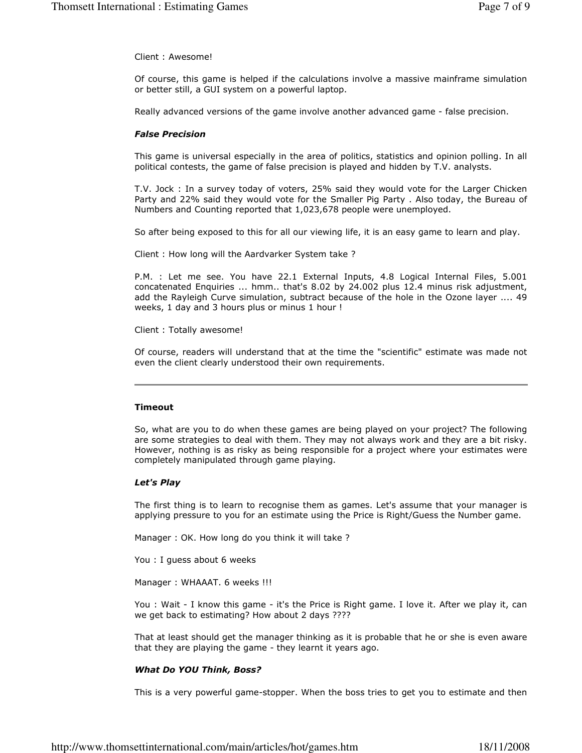Client : Awesome!

Of course, this game is helped if the calculations involve a massive mainframe simulation or better still, a GUI system on a powerful laptop.

Really advanced versions of the game involve another advanced game - false precision.

#### False Precision

This game is universal especially in the area of politics, statistics and opinion polling. In all political contests, the game of false precision is played and hidden by T.V. analysts.

T.V. Jock : In a survey today of voters, 25% said they would vote for the Larger Chicken Party and 22% said they would vote for the Smaller Pig Party . Also today, the Bureau of Numbers and Counting reported that 1,023,678 people were unemployed.

So after being exposed to this for all our viewing life, it is an easy game to learn and play.

Client : How long will the Aardvarker System take ?

P.M. : Let me see. You have 22.1 External Inputs, 4.8 Logical Internal Files, 5.001 concatenated Enquiries ... hmm.. that's 8.02 by 24.002 plus 12.4 minus risk adjustment, add the Rayleigh Curve simulation, subtract because of the hole in the Ozone layer .... 49 weeks, 1 day and 3 hours plus or minus 1 hour !

Client : Totally awesome!

Of course, readers will understand that at the time the "scientific" estimate was made not even the client clearly understood their own requirements.

#### Timeout

So, what are you to do when these games are being played on your project? The following are some strategies to deal with them. They may not always work and they are a bit risky. However, nothing is as risky as being responsible for a project where your estimates were completely manipulated through game playing.

#### Let's Play

The first thing is to learn to recognise them as games. Let's assume that your manager is applying pressure to you for an estimate using the Price is Right/Guess the Number game.

Manager : OK. How long do you think it will take ?

You : I guess about 6 weeks

Manager : WHAAAT. 6 weeks !!!

You : Wait - I know this game - it's the Price is Right game. I love it. After we play it, can we get back to estimating? How about 2 days ????

That at least should get the manager thinking as it is probable that he or she is even aware that they are playing the game - they learnt it years ago.

#### What Do YOU Think, Boss?

This is a very powerful game-stopper. When the boss tries to get you to estimate and then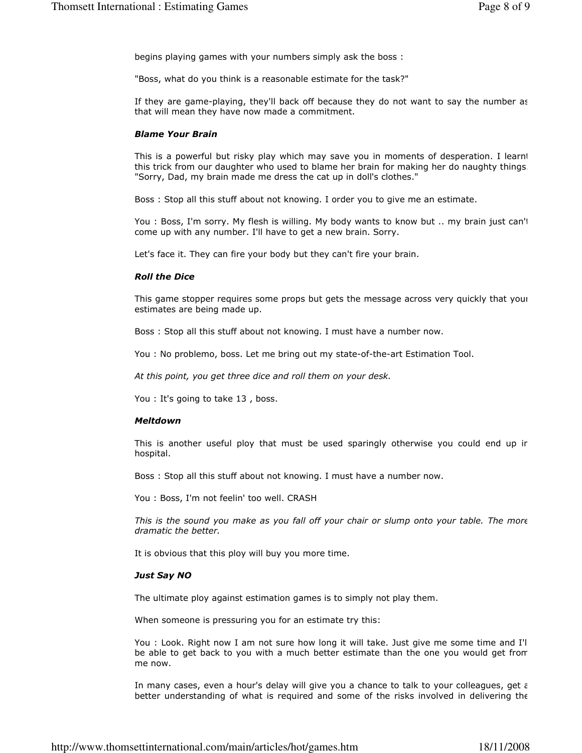begins playing games with your numbers simply ask the boss :

"Boss, what do you think is a reasonable estimate for the task?"

If they are game-playing, they'll back off because they do not want to say the number as that will mean they have now made a commitment.

## Blame Your Brain

This is a powerful but risky play which may save you in moments of desperation. I learnt this trick from our daughter who used to blame her brain for making her do naughty things. "Sorry, Dad, my brain made me dress the cat up in doll's clothes."

Boss : Stop all this stuff about not knowing. I order you to give me an estimate.

You : Boss, I'm sorry. My flesh is willing. My body wants to know but .. my brain just can't come up with any number. I'll have to get a new brain. Sorry.

Let's face it. They can fire your body but they can't fire your brain.

## Roll the Dice

This game stopper requires some props but gets the message across very quickly that your estimates are being made up.

Boss : Stop all this stuff about not knowing. I must have a number now.

You : No problemo, boss. Let me bring out my state-of-the-art Estimation Tool.

At this point, you get three dice and roll them on your desk.

You : It's going to take 13 , boss.

## Meltdown

This is another useful ploy that must be used sparingly otherwise you could end up ir hospital.

Boss : Stop all this stuff about not knowing. I must have a number now.

You : Boss, I'm not feelin' too well. CRASH

This is the sound you make as you fall off your chair or slump onto your table. The more dramatic the better.

It is obvious that this ploy will buy you more time.

## Just Say NO

The ultimate ploy against estimation games is to simply not play them.

When someone is pressuring you for an estimate try this:

You : Look. Right now I am not sure how long it will take. Just give me some time and I'll be able to get back to you with a much better estimate than the one you would get from me now.

In many cases, even a hour's delay will give you a chance to talk to your colleagues, get  $\varepsilon$ better understanding of what is required and some of the risks involved in delivering the